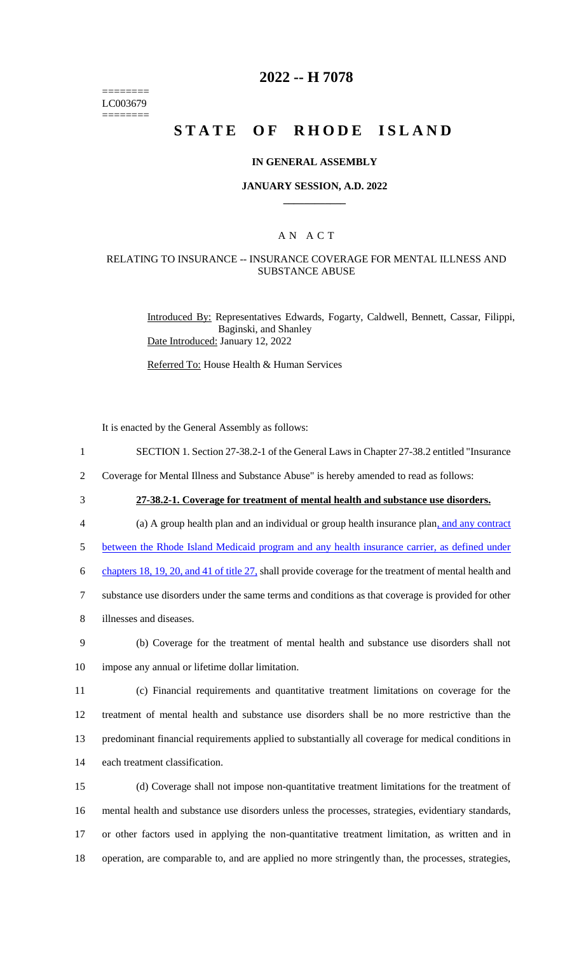======== LC003679 ========

## **2022 -- H 7078**

# **STATE OF RHODE ISLAND**

### **IN GENERAL ASSEMBLY**

### **JANUARY SESSION, A.D. 2022 \_\_\_\_\_\_\_\_\_\_\_\_**

### A N A C T

### RELATING TO INSURANCE -- INSURANCE COVERAGE FOR MENTAL ILLNESS AND SUBSTANCE ABUSE

Introduced By: Representatives Edwards, Fogarty, Caldwell, Bennett, Cassar, Filippi, Baginski, and Shanley Date Introduced: January 12, 2022

Referred To: House Health & Human Services

It is enacted by the General Assembly as follows:

1 SECTION 1. Section 27-38.2-1 of the General Laws in Chapter 27-38.2 entitled "Insurance

2 Coverage for Mental Illness and Substance Abuse" is hereby amended to read as follows:

3 **27-38.2-1. Coverage for treatment of mental health and substance use disorders.**

4 (a) A group health plan and an individual or group health insurance plan, and any contract

5 between the Rhode Island Medicaid program and any health insurance carrier, as defined under

6 chapters 18, 19, 20, and 41 of title 27, shall provide coverage for the treatment of mental health and

7 substance use disorders under the same terms and conditions as that coverage is provided for other

8 illnesses and diseases.

9 (b) Coverage for the treatment of mental health and substance use disorders shall not 10 impose any annual or lifetime dollar limitation.

 (c) Financial requirements and quantitative treatment limitations on coverage for the treatment of mental health and substance use disorders shall be no more restrictive than the predominant financial requirements applied to substantially all coverage for medical conditions in each treatment classification.

 (d) Coverage shall not impose non-quantitative treatment limitations for the treatment of mental health and substance use disorders unless the processes, strategies, evidentiary standards, or other factors used in applying the non-quantitative treatment limitation, as written and in operation, are comparable to, and are applied no more stringently than, the processes, strategies,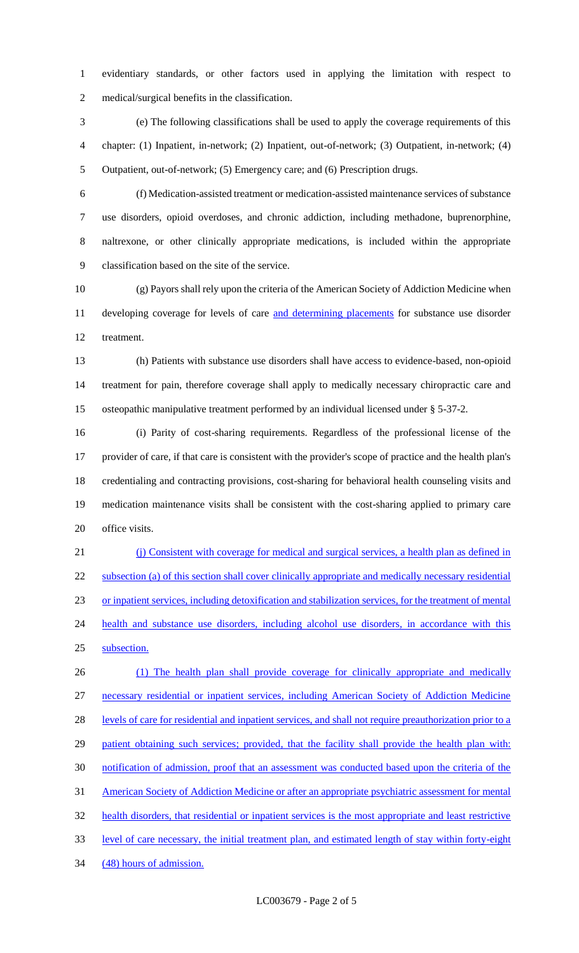evidentiary standards, or other factors used in applying the limitation with respect to medical/surgical benefits in the classification.

 (e) The following classifications shall be used to apply the coverage requirements of this chapter: (1) Inpatient, in-network; (2) Inpatient, out-of-network; (3) Outpatient, in-network; (4) Outpatient, out-of-network; (5) Emergency care; and (6) Prescription drugs.

 (f) Medication-assisted treatment or medication-assisted maintenance services of substance use disorders, opioid overdoses, and chronic addiction, including methadone, buprenorphine, naltrexone, or other clinically appropriate medications, is included within the appropriate classification based on the site of the service.

 (g) Payors shall rely upon the criteria of the American Society of Addiction Medicine when 11 developing coverage for levels of care and determining placements for substance use disorder treatment.

 (h) Patients with substance use disorders shall have access to evidence-based, non-opioid treatment for pain, therefore coverage shall apply to medically necessary chiropractic care and osteopathic manipulative treatment performed by an individual licensed under § 5-37-2.

 (i) Parity of cost-sharing requirements. Regardless of the professional license of the provider of care, if that care is consistent with the provider's scope of practice and the health plan's credentialing and contracting provisions, cost-sharing for behavioral health counseling visits and medication maintenance visits shall be consistent with the cost-sharing applied to primary care office visits.

 (j) Consistent with coverage for medical and surgical services, a health plan as defined in subsection (a) of this section shall cover clinically appropriate and medically necessary residential or inpatient services, including detoxification and stabilization services, for the treatment of mental 24 health and substance use disorders, including alcohol use disorders, in accordance with this subsection.

 (1) The health plan shall provide coverage for clinically appropriate and medically necessary residential or inpatient services, including American Society of Addiction Medicine 28 levels of care for residential and inpatient services, and shall not require preauthorization prior to a 29 patient obtaining such services; provided, that the facility shall provide the health plan with: notification of admission, proof that an assessment was conducted based upon the criteria of the 31 American Society of Addiction Medicine or after an appropriate psychiatric assessment for mental health disorders, that residential or inpatient services is the most appropriate and least restrictive level of care necessary, the initial treatment plan, and estimated length of stay within forty-eight (48) hours of admission.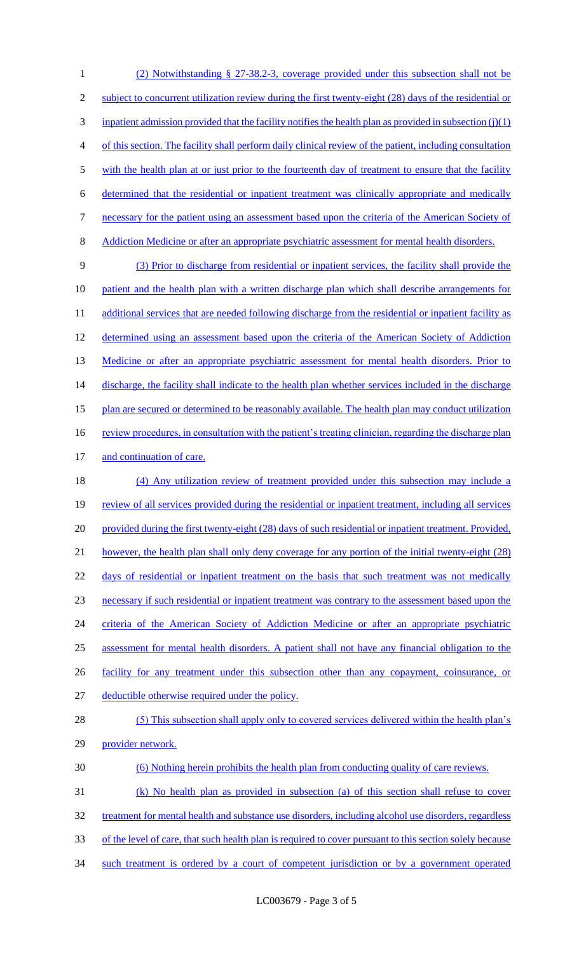1 (2) Notwithstanding § 27-38.2-3, coverage provided under this subsection shall not be 2 subject to concurrent utilization review during the first twenty-eight (28) days of the residential or  $3$  inpatient admission provided that the facility notifies the health plan as provided in subsection (j)(1) 4 of this section. The facility shall perform daily clinical review of the patient, including consultation 5 with the health plan at or just prior to the fourteenth day of treatment to ensure that the facility 6 determined that the residential or inpatient treatment was clinically appropriate and medically 7 necessary for the patient using an assessment based upon the criteria of the American Society of 8 Addiction Medicine or after an appropriate psychiatric assessment for mental health disorders. 9 (3) Prior to discharge from residential or inpatient services, the facility shall provide the 10 patient and the health plan with a written discharge plan which shall describe arrangements for 11 additional services that are needed following discharge from the residential or inpatient facility as 12 determined using an assessment based upon the criteria of the American Society of Addiction 13 Medicine or after an appropriate psychiatric assessment for mental health disorders. Prior to 14 discharge, the facility shall indicate to the health plan whether services included in the discharge 15 plan are secured or determined to be reasonably available. The health plan may conduct utilization 16 review procedures, in consultation with the patient's treating clinician, regarding the discharge plan 17 and continuation of care. 18 (4) Any utilization review of treatment provided under this subsection may include a 19 review of all services provided during the residential or inpatient treatment, including all services 20 provided during the first twenty-eight (28) days of such residential or inpatient treatment. Provided, 21 however, the health plan shall only deny coverage for any portion of the initial twenty-eight (28) 22 days of residential or inpatient treatment on the basis that such treatment was not medically 23 necessary if such residential or inpatient treatment was contrary to the assessment based upon the 24 criteria of the American Society of Addiction Medicine or after an appropriate psychiatric 25 assessment for mental health disorders. A patient shall not have any financial obligation to the 26 facility for any treatment under this subsection other than any copayment, coinsurance, or 27 deductible otherwise required under the policy. 28 (5) This subsection shall apply only to covered services delivered within the health plan's 29 provider network. 30 (6) Nothing herein prohibits the health plan from conducting quality of care reviews. 31 (k) No health plan as provided in subsection (a) of this section shall refuse to cover

- 32 treatment for mental health and substance use disorders, including alcohol use disorders, regardless
- 33 of the level of care, that such health plan is required to cover pursuant to this section solely because
- 34 such treatment is ordered by a court of competent jurisdiction or by a government operated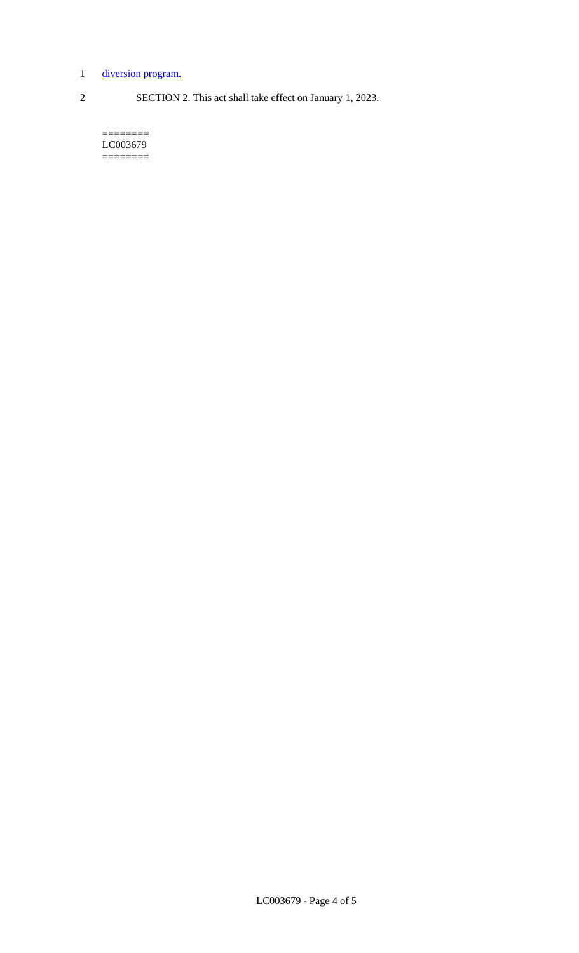# 1 diversion program.

2 SECTION 2. This act shall take effect on January 1, 2023.

======== LC003679 ========